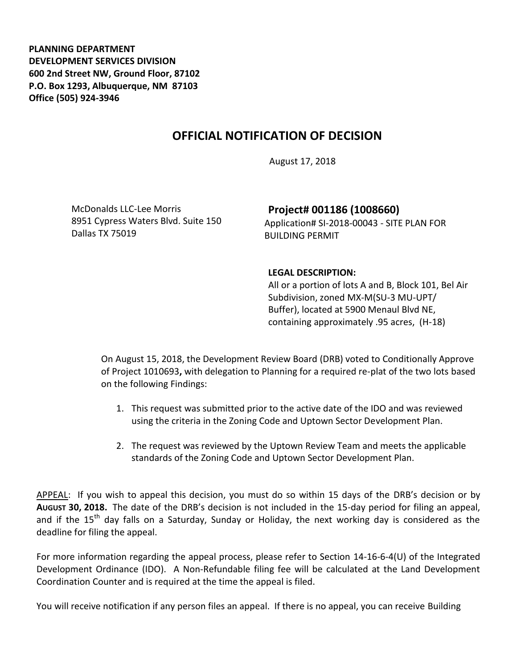**PLANNING DEPARTMENT DEVELOPMENT SERVICES DIVISION 600 2nd Street NW, Ground Floor, 87102 P.O. Box 1293, Albuquerque, NM 87103 Office (505) 924-3946** 

## **OFFICIAL NOTIFICATION OF DECISION**

August 17, 2018

McDonalds LLC-Lee Morris 8951 Cypress Waters Blvd. Suite 150 Dallas TX 75019

**Project# 001186 (1008660)** Application# SI-2018-00043 - SITE PLAN FOR BUILDING PERMIT

## **LEGAL DESCRIPTION:**

All or a portion of lots A and B, Block 101, Bel Air Subdivision, zoned MX-M(SU-3 MU-UPT/ Buffer), located at 5900 Menaul Blvd NE, containing approximately .95 acres, (H-18)

On August 15, 2018, the Development Review Board (DRB) voted to Conditionally Approve of Project 1010693**,** with delegation to Planning for a required re-plat of the two lots based on the following Findings:

- 1. This request was submitted prior to the active date of the IDO and was reviewed using the criteria in the Zoning Code and Uptown Sector Development Plan.
- 2. The request was reviewed by the Uptown Review Team and meets the applicable standards of the Zoning Code and Uptown Sector Development Plan.

APPEAL: If you wish to appeal this decision, you must do so within 15 days of the DRB's decision or by **AUGUST 30, 2018.** The date of the DRB's decision is not included in the 15-day period for filing an appeal, and if the  $15<sup>th</sup>$  day falls on a Saturday, Sunday or Holiday, the next working day is considered as the deadline for filing the appeal.

For more information regarding the appeal process, please refer to Section 14-16-6-4(U) of the Integrated Development Ordinance (IDO). A Non-Refundable filing fee will be calculated at the Land Development Coordination Counter and is required at the time the appeal is filed.

You will receive notification if any person files an appeal. If there is no appeal, you can receive Building